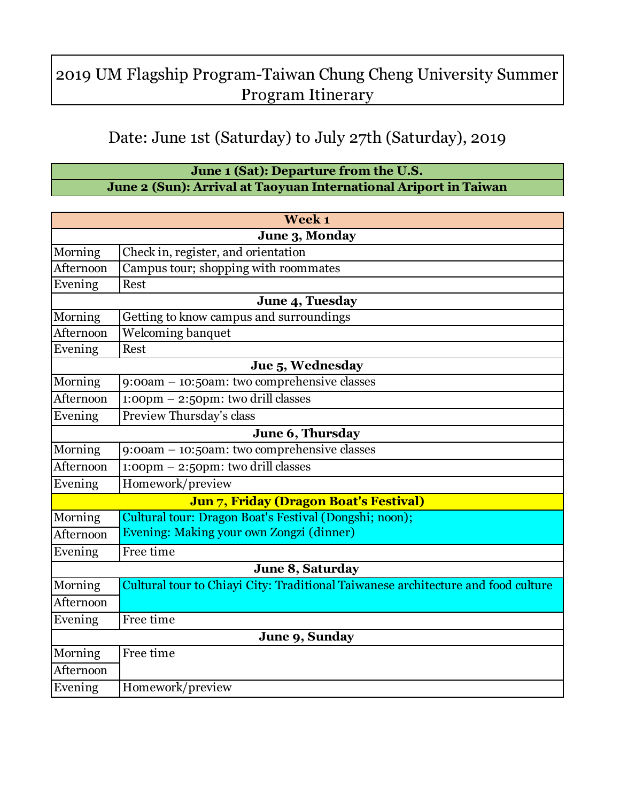## 2019 UM Flagship Program-Taiwan Chung Cheng University Summer Program Itinerary

## Date: June 1st (Saturday) to July 27th (Saturday), 2019

## **June 1 (Sat): Departure from the U.S. June 2 (Sun): Arrival at Taoyuan International Ariport in Taiwan**

|                | Week 1                                                                            |
|----------------|-----------------------------------------------------------------------------------|
|                | June 3, Monday                                                                    |
| Morning        | Check in, register, and orientation                                               |
| Afternoon      | Campus tour; shopping with roommates                                              |
| Evening        | Rest                                                                              |
|                | June 4, Tuesday                                                                   |
| Morning        | Getting to know campus and surroundings                                           |
| Afternoon      | Welcoming banquet                                                                 |
| Evening        | <b>Rest</b>                                                                       |
|                | Jue 5, Wednesday                                                                  |
| Morning        | 9:00am - 10:50am: two comprehensive classes                                       |
| Afternoon      | $1:00 \text{pm} - 2:50 \text{pm}$ : two drill classes                             |
| Evening        | Preview Thursday's class                                                          |
|                | June 6, Thursday                                                                  |
| Morning        | 9:00am - 10:50am: two comprehensive classes                                       |
| Afternoon      | 1:00pm - 2:50pm: two drill classes                                                |
| Evening        | Homework/preview                                                                  |
|                | Jun 7, Friday (Dragon Boat's Festival)                                            |
| Morning        | Cultural tour: Dragon Boat's Festival (Dongshi; noon);                            |
| Afternoon      | Evening: Making your own Zongzi (dinner)                                          |
| Evening        | Free time                                                                         |
|                | June 8, Saturday                                                                  |
| Morning        | Cultural tour to Chiayi City: Traditional Taiwanese architecture and food culture |
| Afternoon      |                                                                                   |
| Evening        | Free time                                                                         |
| June 9, Sunday |                                                                                   |
| Morning        | Free time                                                                         |
| Afternoon      |                                                                                   |
| Evening        | Homework/preview                                                                  |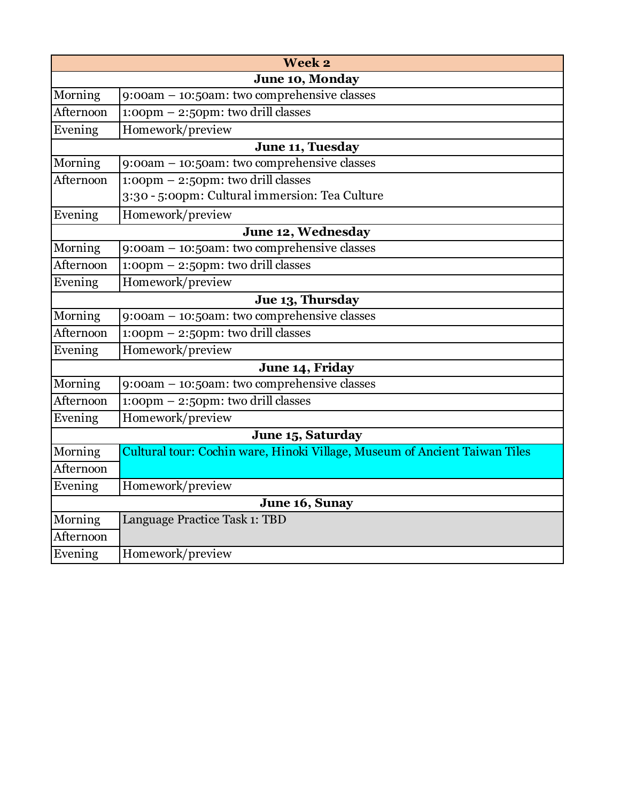| Week 2         |                                                                                      |
|----------------|--------------------------------------------------------------------------------------|
|                | June 10, Monday                                                                      |
| Morning        | 9:00am - 10:50am: two comprehensive classes                                          |
| Afternoon      | $1:00 \text{pm} - 2:50 \text{pm}$ : two drill classes                                |
| Evening        | Homework/preview                                                                     |
|                | June 11, Tuesday                                                                     |
| Morning        | $9:00am - 10:50am$ : two comprehensive classes                                       |
| Afternoon      | 1:00pm - 2:50pm: two drill classes<br>3:30 - 5:00pm: Cultural immersion: Tea Culture |
| Evening        | Homework/preview                                                                     |
|                | June 12, Wednesday                                                                   |
| Morning        | 9:00am - 10:50am: two comprehensive classes                                          |
| Afternoon      | $1:00 \text{pm} - 2:50 \text{pm}$ : two drill classes                                |
| Evening        | Homework/preview                                                                     |
|                | Jue 13, Thursday                                                                     |
| Morning        | 9:00am - 10:50am: two comprehensive classes                                          |
| Afternoon      | $1:00 \text{pm} - 2:50 \text{pm}$ : two drill classes                                |
| Evening        | Homework/preview                                                                     |
|                | June 14, Friday                                                                      |
| Morning        | 9:00am - 10:50am: two comprehensive classes                                          |
| Afternoon      | $1:00 \text{pm} - 2:50 \text{pm}$ : two drill classes                                |
| Evening        | Homework/preview                                                                     |
|                | June 15, Saturday                                                                    |
| Morning        | Cultural tour: Cochin ware, Hinoki Village, Museum of Ancient Taiwan Tiles           |
| Afternoon      |                                                                                      |
| Evening        | Homework/preview                                                                     |
| June 16, Sunay |                                                                                      |
| Morning        | Language Practice Task 1: TBD                                                        |
| Afternoon      |                                                                                      |
| Evening        | Homework/preview                                                                     |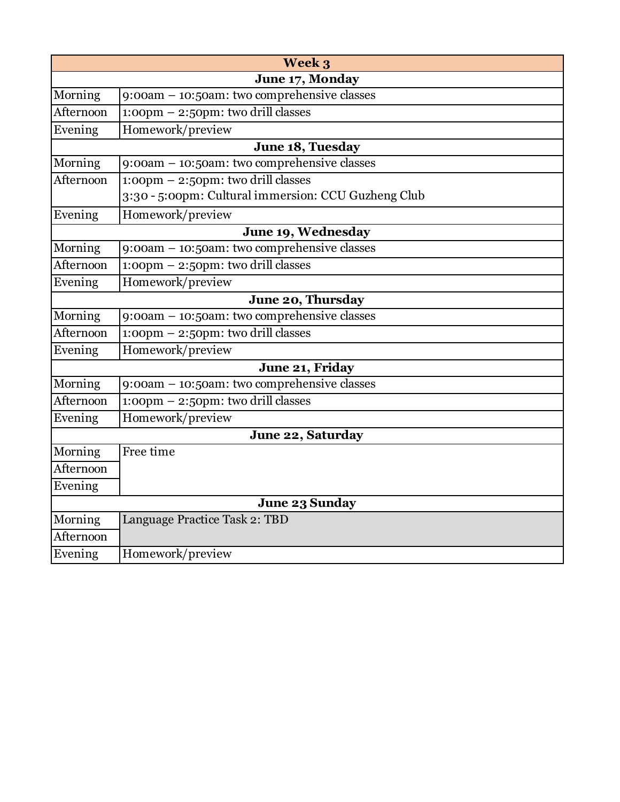|                       | Week 3                                                |
|-----------------------|-------------------------------------------------------|
|                       | June 17, Monday                                       |
| Morning               | 9:00am - 10:50am: two comprehensive classes           |
| Afternoon             | 1:00pm - 2:50pm: two drill classes                    |
| Evening               | Homework/preview                                      |
|                       | June 18, Tuesday                                      |
| Morning               | 9:00am - 10:50am: two comprehensive classes           |
| Afternoon             | 1:00pm - 2:50pm: two drill classes                    |
|                       | 3:30 - 5:00pm: Cultural immersion: CCU Guzheng Club   |
| Evening               | Homework/preview                                      |
|                       | June 19, Wednesday                                    |
| Morning               | 9:00am - 10:50am: two comprehensive classes           |
| Afternoon             | $1:00 \text{pm} - 2:50 \text{pm}$ : two drill classes |
| Evening               | Homework/preview                                      |
|                       | June 20, Thursday                                     |
| Morning               | 9:00am - 10:50am: two comprehensive classes           |
| Afternoon             | $1:00 \text{pm} - 2:50 \text{pm}$ : two drill classes |
| Evening               | Homework/preview                                      |
|                       | June 21, Friday                                       |
| Morning               | 9:00am - 10:50am: two comprehensive classes           |
| Afternoon             | $1:00 \text{pm} - 2:50 \text{pm}$ : two drill classes |
| Evening               | Homework/preview                                      |
|                       | June 22, Saturday                                     |
| Morning               | Free time                                             |
| Afternoon             |                                                       |
| Evening               |                                                       |
| <b>June 23 Sunday</b> |                                                       |
| Morning               | Language Practice Task 2: TBD                         |
| Afternoon             |                                                       |
| Evening               | Homework/preview                                      |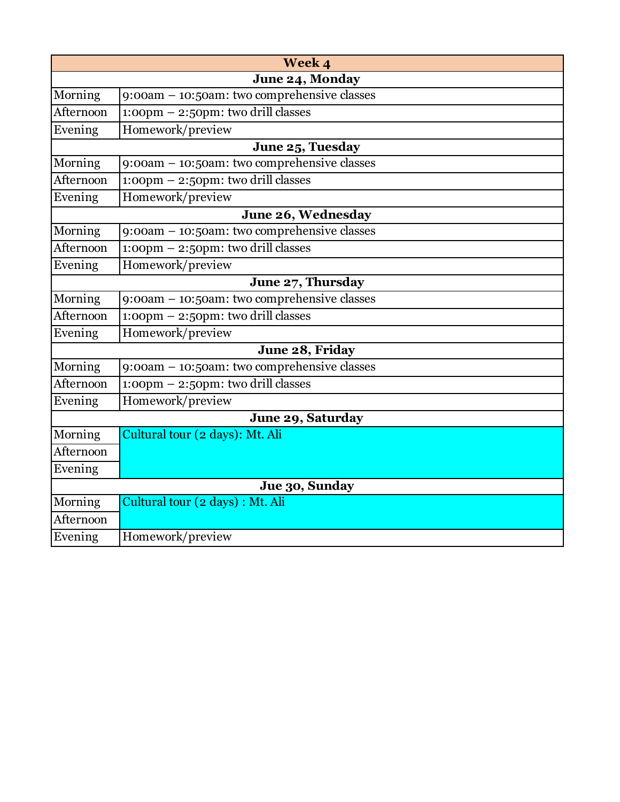|                | Week 4                                                |
|----------------|-------------------------------------------------------|
|                | June 24, Monday                                       |
| Morning        | 9:00am - 10:50am: two comprehensive classes           |
| Afternoon      | $1:00 \text{pm} - 2:50 \text{pm}$ : two drill classes |
| Evening        | Homework/preview                                      |
|                | June 25, Tuesday                                      |
| Morning        | 9:00am - 10:50am: two comprehensive classes           |
| Afternoon      | $1:00 \text{pm} - 2:50 \text{pm}$ : two drill classes |
| Evening        | Homework/preview                                      |
|                | June 26, Wednesday                                    |
| Morning        | 9:00am - 10:50am: two comprehensive classes           |
| Afternoon      | 1:00pm - 2:50pm: two drill classes                    |
| Evening        | Homework/preview                                      |
|                | June 27, Thursday                                     |
| Morning        | 9:00am - 10:50am: two comprehensive classes           |
| Afternoon      | $1:00 \text{pm} - 2:50 \text{pm}$ : two drill classes |
| Evening        | Homework/preview                                      |
|                | June 28, Friday                                       |
| Morning        | 9:00am - 10:50am: two comprehensive classes           |
| Afternoon      | 1:00pm - 2:50pm: two drill classes                    |
| Evening        | Homework/preview                                      |
|                | June 29, Saturday                                     |
| Morning        | Cultural tour (2 days): Mt. Ali                       |
| Afternoon      |                                                       |
| Evening        |                                                       |
| Jue 30, Sunday |                                                       |
| Morning        | Cultural tour (2 days) : Mt. Ali                      |
| Afternoon      |                                                       |
| Evening        | Homework/preview                                      |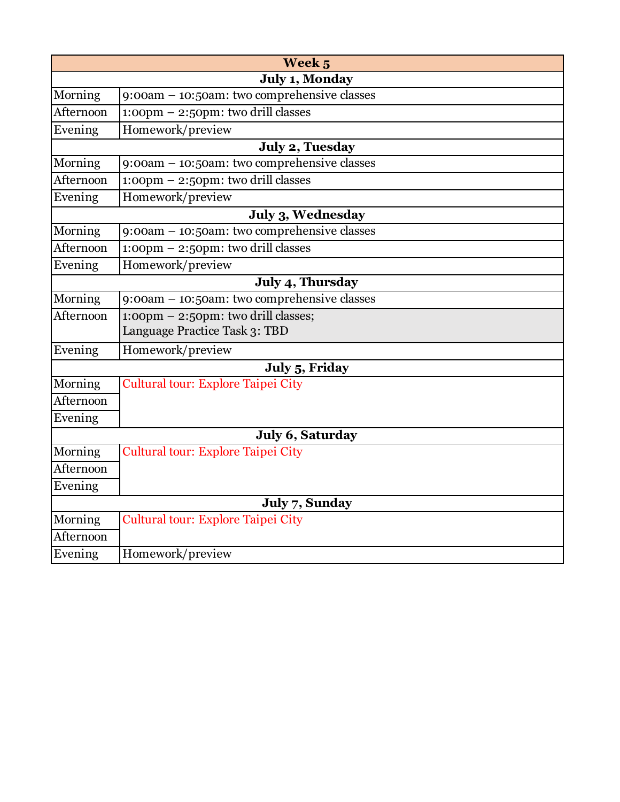|                | Week 5                                                 |
|----------------|--------------------------------------------------------|
|                | July 1, Monday                                         |
| Morning        | 9:00am - 10:50am: two comprehensive classes            |
| Afternoon      | $1:00 \text{pm} - 2:50 \text{pm}$ : two drill classes  |
| Evening        | Homework/preview                                       |
|                | July 2, Tuesday                                        |
| Morning        | 9:00am - 10:50am: two comprehensive classes            |
| Afternoon      | $1:00 \text{pm} - 2:50 \text{pm}$ : two drill classes  |
| Evening        | Homework/preview                                       |
|                | July 3, Wednesday                                      |
| Morning        | 9:00am - 10:50am: two comprehensive classes            |
| Afternoon      | $1:00 \text{pm} - 2:50 \text{pm}$ : two drill classes  |
| Evening        | Homework/preview                                       |
|                | July 4, Thursday                                       |
| Morning        | 9:00am - 10:50am: two comprehensive classes            |
| Afternoon      | $1:00 \text{pm} - 2:50 \text{pm}$ : two drill classes; |
|                | Language Practice Task 3: TBD                          |
| Evening        | Homework/preview                                       |
|                | July 5, Friday                                         |
| Morning        | Cultural tour: Explore Taipei City                     |
| Afternoon      |                                                        |
| Evening        |                                                        |
|                | July 6, Saturday                                       |
| Morning        | <b>Cultural tour: Explore Taipei City</b>              |
| Afternoon      |                                                        |
| Evening        |                                                        |
| July 7, Sunday |                                                        |
| Morning        | <b>Cultural tour: Explore Taipei City</b>              |
| Afternoon      |                                                        |
| Evening        | Homework/preview                                       |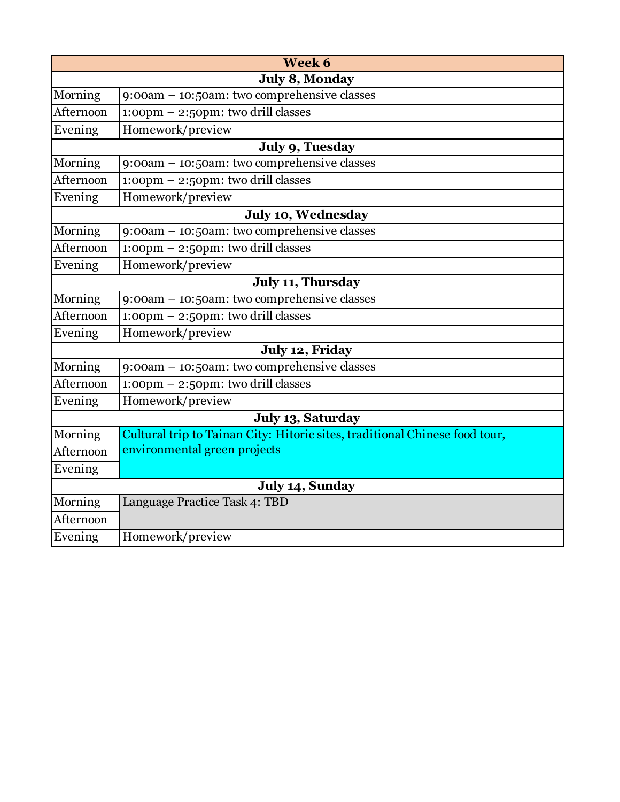|                   | Week 6                                                                      |  |
|-------------------|-----------------------------------------------------------------------------|--|
|                   | July 8, Monday                                                              |  |
| Morning           | 9:00am - 10:50am: two comprehensive classes                                 |  |
| Afternoon         | $1:00 \text{pm} - 2:50 \text{pm}$ : two drill classes                       |  |
| Evening           | Homework/preview                                                            |  |
|                   | July 9, Tuesday                                                             |  |
| Morning           | 9:00am - 10:50am: two comprehensive classes                                 |  |
| Afternoon         | 1:00pm - 2:50pm: two drill classes                                          |  |
| Evening           | Homework/preview                                                            |  |
|                   | July 10, Wednesday                                                          |  |
| Morning           | 9:00am - 10:50am: two comprehensive classes                                 |  |
| Afternoon         | 1:00pm - 2:50pm: two drill classes                                          |  |
| Evening           | Homework/preview                                                            |  |
|                   | <b>July 11, Thursday</b>                                                    |  |
| Morning           | $9:00am - 10:50am$ : two comprehensive classes                              |  |
| Afternoon         | $1:00 \text{pm} - 2:50 \text{pm}$ : two drill classes                       |  |
| Evening           | Homework/preview                                                            |  |
|                   | July 12, Friday                                                             |  |
| Morning           | 9:00am - 10:50am: two comprehensive classes                                 |  |
| Afternoon         | $1:00 \text{pm} - 2:50 \text{pm}$ : two drill classes                       |  |
| Evening           | Homework/preview                                                            |  |
| July 13, Saturday |                                                                             |  |
| Morning           | Cultural trip to Tainan City: Hitoric sites, traditional Chinese food tour, |  |
| Afternoon         | environmental green projects                                                |  |
| Evening           |                                                                             |  |
| July 14, Sunday   |                                                                             |  |
| Morning           | Language Practice Task 4: TBD                                               |  |
| Afternoon         |                                                                             |  |
| Evening           | Homework/preview                                                            |  |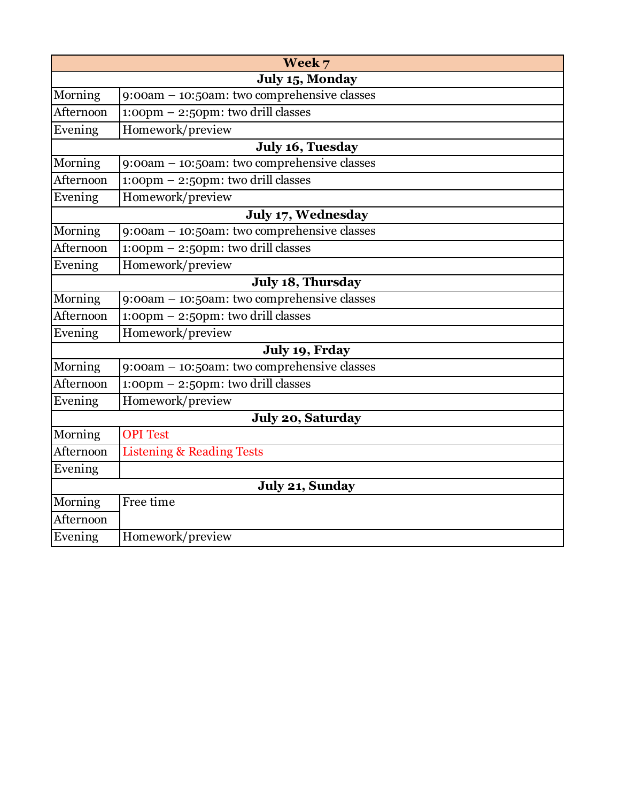|                 | Week 7                                                |
|-----------------|-------------------------------------------------------|
|                 | July 15, Monday                                       |
| Morning         | 9:00am - 10:50am: two comprehensive classes           |
| Afternoon       | $1:00 \text{pm} - 2:50 \text{pm}$ : two drill classes |
| Evening         | Homework/preview                                      |
|                 | July 16, Tuesday                                      |
| Morning         | 9:00am - 10:50am: two comprehensive classes           |
| Afternoon       | $1:00 \text{pm} - 2:50 \text{pm}$ : two drill classes |
| Evening         | Homework/preview                                      |
|                 | July 17, Wednesday                                    |
| Morning         | 9:00am - 10:50am: two comprehensive classes           |
| Afternoon       | 1:00pm - 2:50pm: two drill classes                    |
| Evening         | Homework/preview                                      |
|                 | July 18, Thursday                                     |
| Morning         | 9:00am - 10:50am: two comprehensive classes           |
| Afternoon       | 1:00pm - 2:50pm: two drill classes                    |
| Evening         | Homework/preview                                      |
|                 | July 19, Frday                                        |
| Morning         | 9:00am - 10:50am: two comprehensive classes           |
| Afternoon       | 1:00pm - 2:50pm: two drill classes                    |
| Evening         | Homework/preview                                      |
|                 | July 20, Saturday                                     |
| Morning         | <b>OPI</b> Test                                       |
| Afternoon       | <b>Listening &amp; Reading Tests</b>                  |
| Evening         |                                                       |
| July 21, Sunday |                                                       |
| Morning         | Free time                                             |
| Afternoon       |                                                       |
| Evening         | Homework/preview                                      |